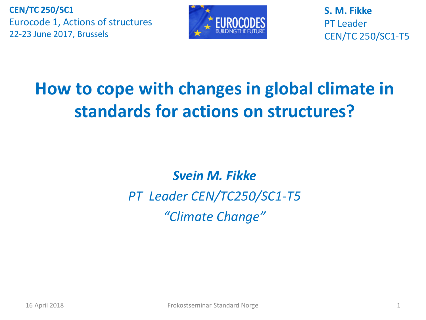

**S. M. Fikke** PT Leader CEN/TC 250/SC1-T5

## **How to cope with changes in global climate in standards for actions on structures?**

*Svein M. Fikke PT Leader CEN/TC250/SC1-T5 "Climate Change"*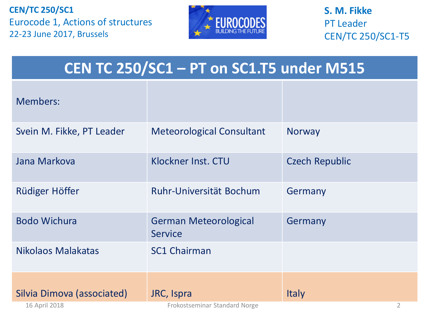

**S. M. Fikke** PT Leader CEN/TC 250/SC1-T5

### **CEN TC 250/SC1 – PT on SC1.T5 under M515**

| <b>Members:</b>            |                                                |                       |
|----------------------------|------------------------------------------------|-----------------------|
| Svein M. Fikke, PT Leader  | <b>Meteorological Consultant</b>               | <b>Norway</b>         |
| Jana Markova               | Klockner Inst. CTU                             | <b>Czech Republic</b> |
| Rüdiger Höffer             | Ruhr-Universität Bochum                        | Germany               |
| <b>Bodo Wichura</b>        | <b>German Meteorological</b><br><b>Service</b> | Germany               |
| Nikolaos Malakatas         | <b>SC1 Chairman</b>                            |                       |
| Silvia Dimova (associated) | JRC, Ispra                                     | <b>Italy</b>          |
| 16 April 2018              | Frokostseminar Standard Norge                  | 2                     |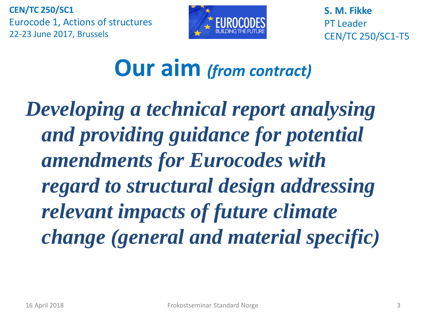

**S. M. Fikke** PT Leader CEN/TC 250/SC1-T5

# **Our aim** *(from contract)*

*Developing a technical report analysing and providing guidance for potential amendments for Eurocodes with regard to structural design addressing relevant impacts of future climate change (general and material specific)*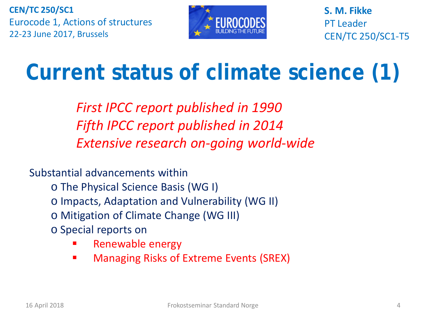

**S. M. Fikke** PT Leader CEN/TC 250/SC1-T5

# **Current status of climate science (1)**

*First IPCC report published in 1990 Fifth IPCC report published in 2014 Extensive research on-going world-wide*

Substantial advancements within

- o The Physical Science Basis (WG I)
- o Impacts, Adaptation and Vulnerability (WG II)
- o Mitigation of Climate Change (WG III)
- o Special reports on
	- Renewable energy
	- Managing Risks of Extreme Events (SREX)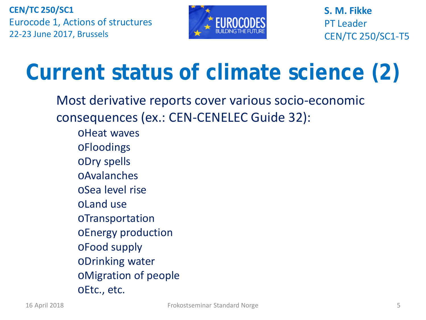

**S. M. Fikke** PT Leader CEN/TC 250/SC1-T5

# **Current status of climate science (2)**

Most derivative reports cover various socio-economic consequences (ex.: CEN-CENELEC Guide 32):

- oHeat waves
- oFloodings
- oDry spells
- oAvalanches
- oSea level rise
- oLand use
- oTransportation
- oEnergy production
- oFood supply
- oDrinking water
- oMigration of people
- oEtc., etc.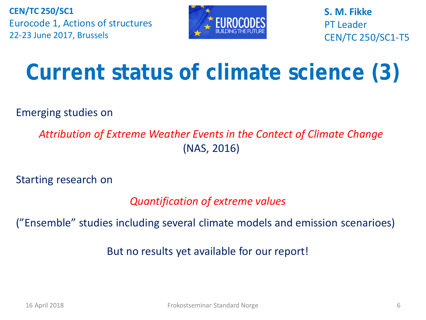

**S. M. Fikke** PT Leader CEN/TC 250/SC1-T5

# **Current status of climate science (3)**

Emerging studies on

*Attribution of Extreme Weather Events in the Contect of Climate Change* (NAS, 2016)

Starting research on

*Quantification of extreme values*

("Ensemble" studies including several climate models and emission scenarioes)

But no results yet available for our report!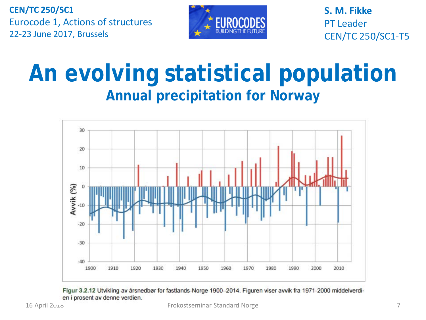

**S. M. Fikke** PT Leader CEN/TC 250/SC1-T5

# **An evolving statistical population Annual precipitation for Norway**



Figur 3.2.12 Utvikling av årsnedbør for fastlands-Norge 1900–2014. Figuren viser avvik fra 1971-2000 middelverdien i prosent av denne verdien.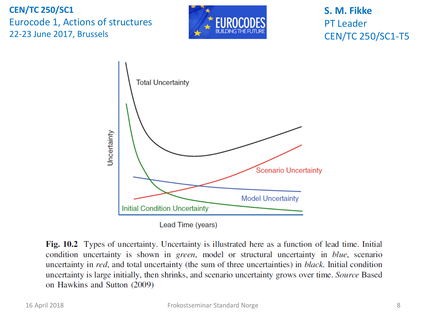

### **S. M. Fikke** PT Leader CEN/TC 250/SC1-T5



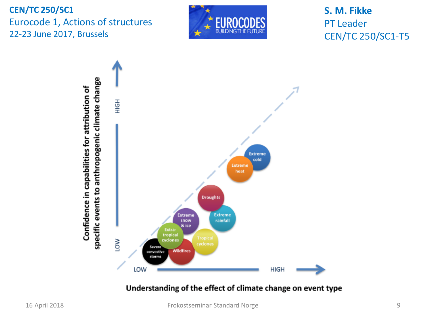

**S. M. Fikke** PT Leader CEN/TC 250/SC1-T5



Understanding of the effect of climate change on event type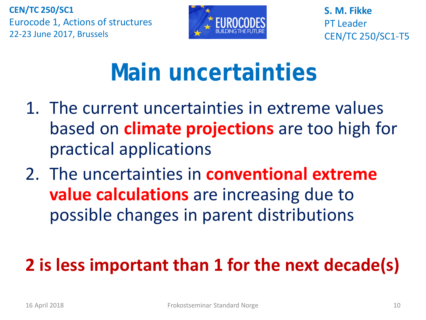

**S. M. Fikke** PT Leader CEN/TC 250/SC1-T5

# **Main uncertainties**

- 1. The current uncertainties in extreme values based on **climate projections** are too high for practical applications
- 2. The uncertainties in **conventional extreme value calculations** are increasing due to possible changes in parent distributions

# **2 is less important than 1 for the next decade(s)**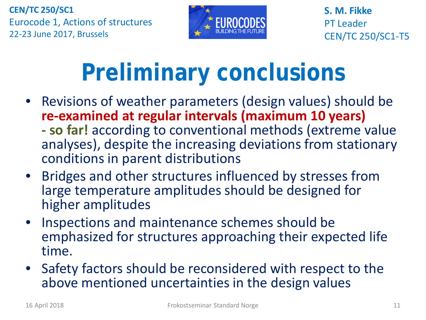

**S. M. Fikke** PT Leader CEN/TC 250/SC1-T5

# **Preliminary conclusions**

- Revisions of weather parameters (design values) should be re-examined at regular intervals (maximum 10 years)
	- **so far!** according to conventional methods (extreme value analyses), despite the increasing deviations from stationary conditions in parent distributions
- Bridges and other structures influenced by stresses from large temperature amplitudes should be designed for higher amplitudes
- Inspections and maintenance schemes should be emphasized for structures approaching their expected life time.
- Safety factors should be reconsidered with respect to the above mentioned uncertainties in the design values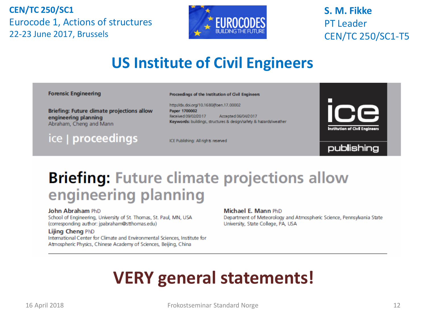

### **S. M. Fikke** PT Leader CEN/TC 250/SC1-T5

### **US Institute of Civil Engineers**

#### **Forensic Engineering**

**Briefing: Future climate projections allow** engineering planning Abraham, Cheng and Mann

ice | proceedings

Proceedings of the Institution of Gvil Engineers

http://dx.doi.org/10.1680/foen.17.00002 Paper 1700002 Received 09/02/2017 Accepted 06/04/2017 Keywords: buildings, structures & design/safety & hazards/weather

ICE Publishing: All rights reserved





### **Briefing: Future climate projections allow** engineering planning

#### John Abraham PhD

School of Engineering, University of St. Thomas, St. Paul, MN, USA (corresponding author: jpabraham@stthomas.edu)

#### Lijing Cheng PhD

International Center for Climate and Environmental Sciences, Institute for Atmospheric Physics, Chinese Academy of Sciences, Beijing, China

#### Michael E. Mann PhD

Department of Meteorology and Atmospheric Science, Pennsylvania State University, State College, PA, USA

### **VERY general statements!**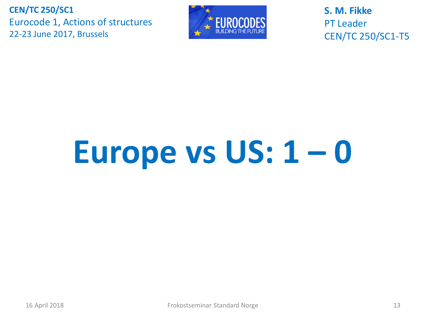

**S. M. Fikke** PT Leader CEN/TC 250/SC1-T5

# **Europe vs US: 1 – 0**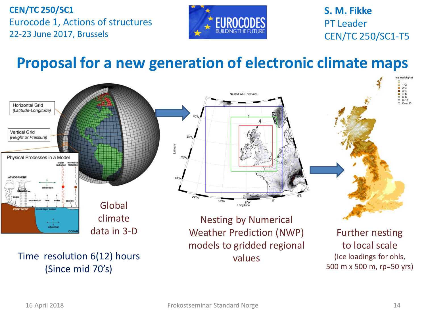

**S. M. Fikke** PT Leader CEN/TC 250/SC1-T5

### **Proposal for a new generation of electronic climate maps**

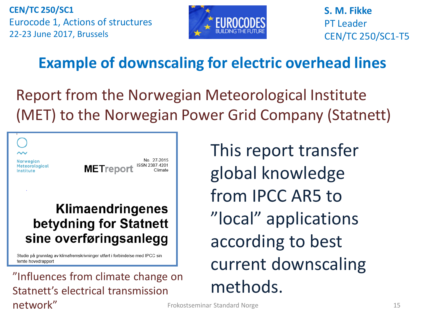

**S. M. Fikke** PT Leader CEN/TC 250/SC1-T5

### **Example of downscaling for electric overhead lines**

Report from the Norwegian Meteorological Institute (MET) to the Norwegian Power Grid Company (Statnett)

**Norwegian Meteorological** Institute

No. 27-2015 **METreport** 

### **Klimaendringenes** betydning for Statnett sine overføringsanlegg

Studie på grunnlag av klimafremskrivninger utført i forbindelse med IPCC sin femte hovedrapport

 $t$ WOrk" and the standard Norge standard Norge and the standard Norge standard Norge standard Norge standard  $15$ "Influences from climate change on "Influences from climate change on""
" Statnett's electrical transmission network"

This report transfer global knowledge from IPCC AR5 to "local" applications according to best current downscaling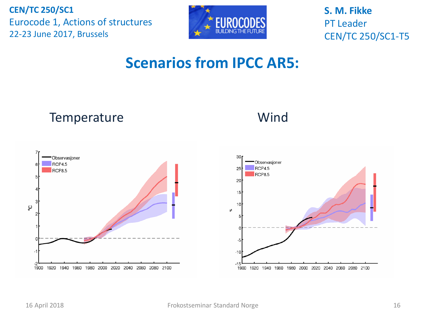

**S. M. Fikke** PT Leader CEN/TC 250/SC1-T5

### **Scenarios from IPCC AR5:**



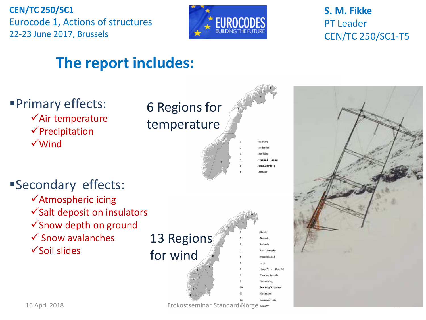

### **S. M. Fikke** PT Leader CEN/TC 250/SC1-T5

### **The report includes:**

Primary effects:  $\checkmark$  Air temperature  $\checkmark$ Precipitation Wind

### 6 Regions for temperature



 $12$ 

### Secondary effects:

- Atmospheric icing
- $\checkmark$  Salt deposit on insulators
- Snow depth on ground
- $\checkmark$  Snow avalanches
- $\checkmark$  Soil slides

| 13 Regions |  |
|------------|--|
| for wind   |  |

| Østfold               |
|-----------------------|
| Østlandet             |
| Sorlandet             |
| Sør - Vestlandet      |
| Sunnhordaland         |
| Sogn                  |
| Dovre/Nord - Østerdal |
| Møre og Romsdal       |
| Inntrondelag          |
| Trondelag/Helgeland   |
| Hålogaland            |
| Finnmarksvidda        |

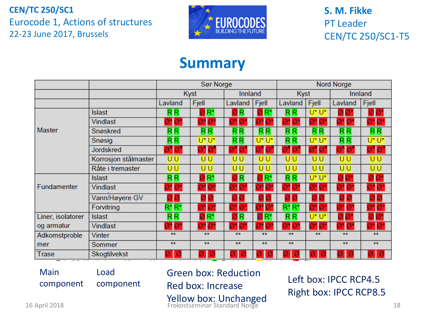

**S. M. Fikke** PT Leader CEN/TC 250/SC1-T5

### **Summary**

|                   |                      | Sør Norge                                    |                                      |         | Nord Norge |                                              |          |                |                               |
|-------------------|----------------------|----------------------------------------------|--------------------------------------|---------|------------|----------------------------------------------|----------|----------------|-------------------------------|
|                   |                      | Kyst                                         |                                      | Innland |            | <b>Kyst</b>                                  |          | Innland        |                               |
|                   |                      | Lavland                                      | Fjell                                | Lavland | Fjell      | Lavland                                      | Fjell    | Lavland        | Fjell                         |
|                   | <b>Islast</b>        | RR                                           | ZR*                                  |         | 7R'        | R <sub>R</sub>                               | U*U*     | Ø۱             | Ø                             |
|                   | <b>Vindlast</b>      | 10'                                          | Ø<br>Ø٦                              |         | Ø<br>Ø     | IØ<br>Ø                                      |          | Ø<br>ď         | <b>A7</b>                     |
| Master            | Snøskred             | RR                                           | $R$ $R$                              | RR.     | RR.        | RR                                           | $R$ $R$  | RR.            | RR                            |
|                   | Snøsig               | R R                                          | U*U*                                 | RR.     | U*U*       | RR.                                          | U*U*     | R <sub>R</sub> | U*U*                          |
|                   | <b>Jordskred</b>     |                                              |                                      |         |            |                                              |          |                | Øʻ<br>$\overline{\mathbf{Q}}$ |
|                   | Korrosjon stålmaster | บบ                                           | บบ                                   | UU      | UU         | บบ                                           | UU       | UU             | UU                            |
|                   | Råte i tremaster     | UU                                           | บบ                                   | UU      | UU         | บบ                                           | UU       | UU             | UU                            |
| Fundamenter       | <b>Islast</b>        | $\overline{\mathsf{R}}\overline{\mathsf{R}}$ | $ØR^*$                               | ØR      | ØR         | $\overline{\mathsf{R}}\overline{\mathsf{R}}$ | $U^*U^*$ | ØØ             | $\emptyset$ $\emptyset^*$     |
|                   | <b>Vindlast</b>      | Ø*Ø*                                         | Ø<br>Ø*l                             |         | Ø1<br>Ø    |                                              |          | Ø<br>71        |                               |
|                   | Vann/Høyere GV       |                                              |                                      |         |            |                                              |          |                |                               |
|                   | Forvitring           | $R^*R^*$                                     | Ø*Ø                                  | Ø       | Ø<br>Ø     | $R^*R^*$                                     | Ø1       | ð<br>Ø         | Ø* Ø                          |
| Liner, isolatorer | <b>Islast</b>        | RR                                           | $\overline{o}$ R*                    | R       | δR         | RR.                                          | U*U*     |                | Ø                             |
| og armatur        | <b>Vindlast</b>      | Ø*Ø*                                         | $\emptyset^* \overline{\emptyset}^*$ | Øï      | Ø<br>Ø     | Ø                                            |          | 7* Ø'          | Ø* ؆                          |
| Adkomstproble     | <b>Vinter</b>        | **                                           | **                                   | **      | **         | $*$                                          | **       | **             | **                            |
| mer               | Sommer               | **                                           | **                                   | **      | **         | $*$                                          |          | **             | $\star\star$                  |
| Trase             | Skogtilvekst         | ØØ                                           |                                      |         |            |                                              |          |                | ØØ                            |

Main component Load

component

16 April 2018 **18 Contract Standard Morge 18 April 2018** 18 April 2018 Green box: Reduction Red box: Increase Yellow box: Unchanged Frokostseminar Standard Norge

Left box: IPCC RCP4.5 Right box: IPCC RCP8.5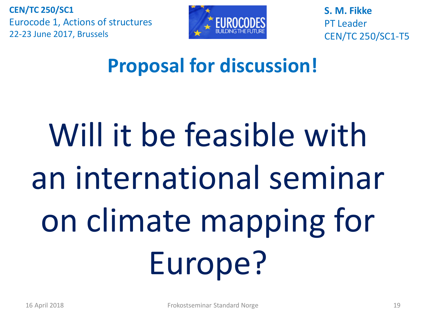

**S. M. Fikke** PT Leader CEN/TC 250/SC1-T5

# **Proposal for discussion!**

# Will it be feasible with an international seminar on climate mapping for Europe?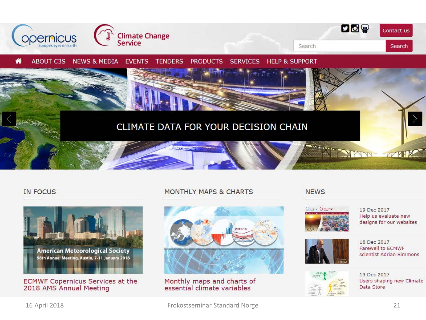

#### **IN FOCUS**



**ECMWF Copernicus Services at the** 2018 AMS Annual Meeting

#### **MONTHLY MAPS & CHARTS**



#### Monthly maps and charts of essential climate variables

#### **NEWS**



19 Dec 2017 Help us evaluate new designs for our websites



#### 18 Dec 2017 Farewell to ECMWF scientist Adrian Simmons



13 Dec 2017 Users shaping new Climate Data Store

16 April 2018 Frokostseminar Standard Norge 21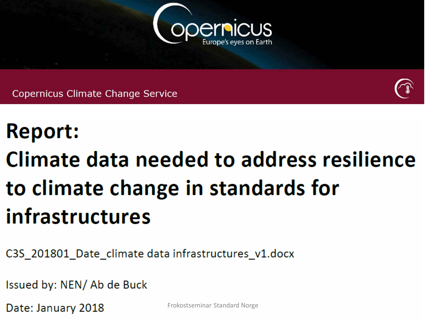

**Copernicus Climate Change Service** 



# **Report:**

# Climate data needed to address resilience to climate change in standards for infrastructures

C3S\_201801\_Date\_climate data infrastructures\_v1.docx

Issued by: NEN/Ab de Buck

Date: January 2018 Frokostseminar Standard Norge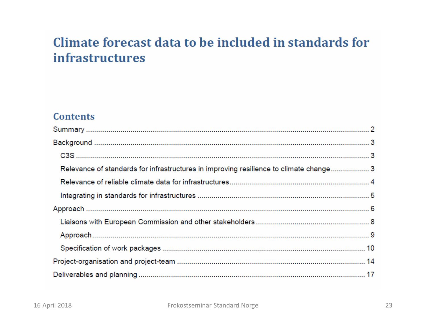### Climate forecast data to be included in standards for **infrastructures**

#### **Contents**

| Relevance of standards for infrastructures in improving resilience to climate change 3 |  |
|----------------------------------------------------------------------------------------|--|
|                                                                                        |  |
|                                                                                        |  |
|                                                                                        |  |
|                                                                                        |  |
|                                                                                        |  |
|                                                                                        |  |
|                                                                                        |  |
|                                                                                        |  |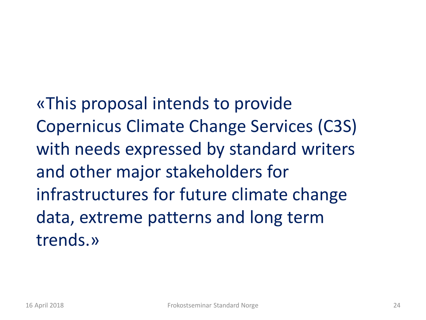«This proposal intends to provide Copernicus Climate Change Services (C3S) with needs expressed by standard writers and other major stakeholders for infrastructures for future climate change data, extreme patterns and long term trends.»